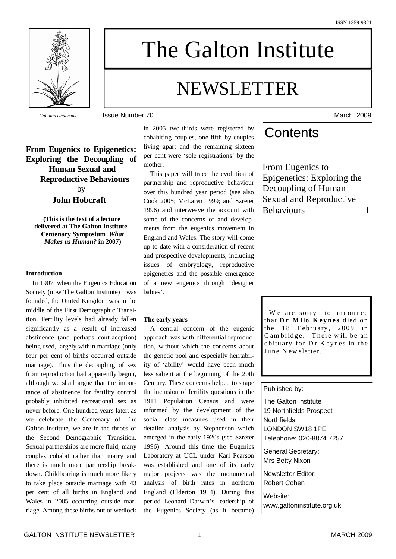

The Galton Institute

# NEWSLETTER

*Galtonia candicans* **ISSUE Number 70** March 2009

### **From Eugenics to Epigenetics: Exploring the Decoupling of Human Sexual and Reproductive Behaviours** by **John Hobcraft**

**(This is the text of a lecture delivered at The Galton Institute Centenary Symposium** *What Makes us Human?* **in 2007)**

#### **Introduction**

In 1907, when the Eugenics Education Society (now The Galton Institute) was founded, the United Kingdom was in the middle of the First Demographic Transition. Fertility levels had already fallen significantly as a result of increased abstinence (and perhaps contraception) being used, largely within marriage (only four per cent of births occurred outside marriage). Thus the decoupling of sex from reproduction had apparently begun, although we shall argue that the importance of abstinence for fertility control probably inhibited recreational sex as never before. One hundred years later, as we celebrate the Centenary of The Galton Institute, we are in the throes of the Second Demographic Transition. Sexual partnerships are more fluid, many couples cohabit rather than marry and there is much more partnership breakdown. Childbearing is much more likely to take place outside marriage with 43 per cent of all births in England and Wales in 2005 occurring outside marriage. Among these births out of wedlock in 2005 two-thirds were registered by cohabiting couples, one-fifth by couples living apart and the remaining sixteen per cent were 'sole registrations' by the mother.

This paper will trace the evolution of partnership and reproductive behaviour over this hundred year period (see also Cook 2005; McLaren 1999; and Szreter 1996) and interweave the account with some of the concerns of and developments from the eugenics movement in England and Wales. The story will come up to date with a consideration of recent and prospective developments, including issues of embryology, reproductive epigenetics and the possible emergence of a new eugenics through 'designer babies'.

#### **The early years**

A central concern of the eugenic approach was with differential reproduction, without which the concerns about the genetic pool and especially heritability of 'ability' would have been much less salient at the beginning of the 20th Century. These concerns helped to shape the inclusion of fertility questions in the 1911 Population Census and were informed by the development of the social class measures used in their detailed analysis by Stephenson which emerged in the early 1920s (see Szreter 1996). Around this time the Eugenics Laboratory at UCL under Karl Pearson was established and one of its early major projects was the monumental analysis of birth rates in northern England (Elderton 1914). During this period Leonard Darwin's leadership of the Eugenics Society (as it became)

## **Contents**

From Eugenics to Epigenetics: Exploring the Decoupling of Human Sexual and Reproductive Behaviours 1

We are sorry to announce that  $\mathbf{D} \mathbf{r}$  **Milo K** evnes died on the  $18$  February,  $2009$  in C am bridge. There will be an obituary for Dr Keynes in the June New sletter.

#### Published by:

The Galton Institute 19 Northfields Prospect **Northfields** LONDON SW18 1PE Telephone: 020-8874 7257

General Secretary: Mrs Betty Nixon

Newsletter Editor: Robert Cohen

Website: www.galtoninstitute.org.uk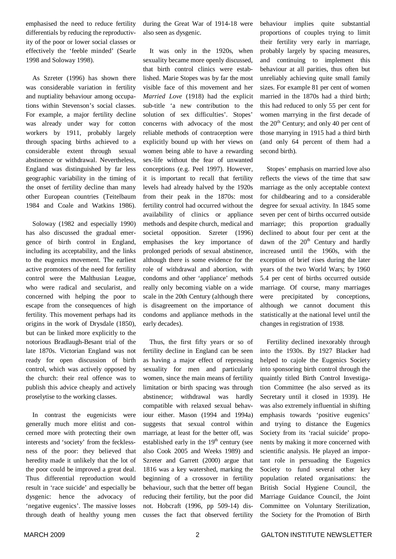emphasised the need to reduce fertility differentials by reducing the reproductivity of the poor or lower social classes or effectively the 'feeble minded' (Searle 1998 and Soloway 1998).

As Szreter (1996) has shown there was considerable variation in fertility and nuptiality behaviour among occupations within Stevenson's social classes. For example, a major fertility decline was already under way for cotton workers by 1911, probably largely through spacing births achieved to a considerable extent through sexual abstinence or withdrawal. Nevertheless, England was distinguished by far less geographic variability in the timing of the onset of fertility decline than many other European countries (Teitelbaum 1984 and Coale and Watkins 1986).

Soloway (1982 and especially 1990) has also discussed the gradual emergence of birth control in England, including its acceptability, and the links to the eugenics movement. The earliest active promoters of the need for fertility control were the Malthusian League, who were radical and secularist, and concerned with helping the poor to escape from the consequences of high fertility. This movement perhaps had its origins in the work of Drysdale (1850), but can be linked more explicitly to the notorious Bradlaugh-Besant trial of the late 1870s. Victorian England was not ready for open discussion of birth control, which was actively opposed by the church: their real offence was to publish this advice cheaply and actively proselytise to the working classes.

In contrast the eugenicists were generally much more elitist and concerned more with protecting their own interests and 'society' from the fecklessness of the poor: they believed that heredity made it unlikely that the lot of the poor could be improved a great deal. Thus differential reproduction would result in 'race suicide' and especially be dysgenic: hence the advocacy of 'negative eugenics'. The massive losses through death of healthy young men

during the Great War of 1914-18 were also seen as dysgenic.

It was only in the 1920s, when sexuality became more openly discussed, that birth control clinics were established. Marie Stopes was by far the most visible face of this movement and her *Married Love* (1918) had the explicit sub-title 'a new contribution to the solution of sex difficulties'. Stopes' concerns with advocacy of the most reliable methods of contraception were explicitly bound up with her views on women being able to have a rewarding sex-life without the fear of unwanted conceptions (e.g. Peel 1997). However, it is important to recall that fertility levels had already halved by the 1920s from their peak in the 1870s: most fertility control had occurred without the availability of clinics or appliance methods and despite church, medical and societal opposition. Szreter (1996) emphasises the key importance of prolonged periods of sexual abstinence, although there is some evidence for the role of withdrawal and abortion, with condoms and other 'appliance' methods really only becoming viable on a wide scale in the 20th Century (although there is disagreement on the importance of condoms and appliance methods in the early decades).

Thus, the first fifty years or so of fertility decline in England can be seen as having a major effect of repressing sexuality for men and particularly women, since the main means of fertility limitation or birth spacing was through abstinence; withdrawal was hardly compatible with relaxed sexual behaviour either. Mason (1994 and 1994a) suggests that sexual control within marriage, at least for the better off, was established early in the  $19<sup>th</sup>$  century (see also Cook 2005 and Weeks 1989) and Szreter and Garrett (2000) argue that 1816 was a key watershed, marking the beginning of a crossover in fertility behaviour, such that the better off began reducing their fertility, but the poor did not. Hobcraft (1996, pp 509-14) discusses the fact that observed fertility

behaviour implies quite substantial proportions of couples trying to limit their fertility very early in marriage, probably largely by spacing measures, and continuing to implement this behaviour at all parities, thus often but unreliably achieving quite small family sizes. For example 81 per cent of women married in the 1870s had a third birth; this had reduced to only 55 per cent for women marrying in the first decade of the 20<sup>th</sup> Century; and only 40 per cent of those marrying in 1915 had a third birth (and only 64 percent of them had a second birth).

Stopes' emphasis on married love also reflects the views of the time that saw marriage as the only acceptable context for childbearing and to a considerable degree for sexual activity. In 1845 some seven per cent of births occurred outside marriage; this proportion gradually declined to about four per cent at the dawn of the 20<sup>th</sup> Century and hardly increased until the 1960s, with the exception of brief rises during the later years of the two World Wars; by 1960 5.4 per cent of births occurred outside marriage. Of course, many marriages were precipitated by conceptions, although we cannot document this statistically at the national level until the changes in registration of 1938.

Fertility declined inexorably through into the 1930s. By 1927 Blacker had helped to cajole the Eugenics Society into sponsoring birth control through the quaintly titled Birth Control Investigation Committee (he also served as its Secretary until it closed in 1939). He was also extremely influential in shifting emphasis towards 'positive eugenics' and trying to distance the Eugenics Society from its 'racial suicide' proponents by making it more concerned with scientific analysis. He played an important role in persuading the Eugenics Society to fund several other key population related organisations: the British Social Hygiene Council, the Marriage Guidance Council, the Joint Committee on Voluntary Sterilization, the Society for the Promotion of Birth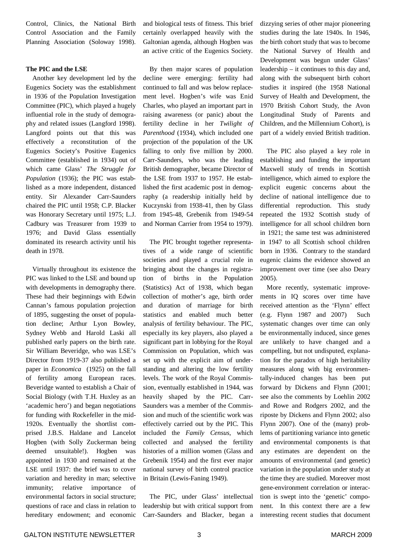Control, Clinics, the National Birth Control Association and the Family Planning Association (Soloway 1998).

#### **The PIC and the LSE**

Another key development led by the Eugenics Society was the establishment in 1936 of the Population Investigation Committee (PIC), which played a hugely influential role in the study of demography and related issues (Langford 1998). Langford points out that this was effectively a reconstitution of the Eugenics Society's Positive Eugenics Committee (established in 1934) out of which came Glass' *The Struggle for Population* (1936); the PIC was established as a more independent, distanced entity. Sir Alexander Carr-Saunders chaired the PIC until 1958; C.P. Blacker was Honorary Secretary until 1975; L.J. Cadbury was Treasurer from 1939 to 1976; and David Glass essentially dominated its research activity until his death in 1978.

Virtually throughout its existence the PIC was linked to the LSE and bound up with developments in demography there. These had their beginnings with Edwin Cannan's famous population projection of 1895, suggesting the onset of population decline; Arthur Lyon Bowley, Sydney Webb and Harold Laski all published early papers on the birth rate. Sir William Beveridge, who was LSE's Director from 1919-37 also published a paper in *Economica* (1925) on the fall of fertility among European races. Beveridge wanted to establish a Chair of Social Biology (with T.H. Huxley as an 'academic hero') and began negotiations for funding with Rockefeller in the mid-1920s. Eventually the shortlist comprised J.B.S. Haldane and Lancelot Hogben (with Solly Zuckerman being deemed unsuitable!). Hogben was appointed in 1930 and remained at the LSE until 1937: the brief was to cover variation and heredity in man; selective immunity; relative importance of environmental factors in social structure; questions of race and class in relation to hereditary endowment; and economic

and biological tests of fitness. This brief certainly overlapped heavily with the Galtonian agenda, although Hogben was an active critic of the Eugenics Society.

By then major scares of population decline were emerging: fertility had continued to fall and was below replacement level. Hogben's wife was Enid Charles, who played an important part in raising awareness (or panic) about the fertility decline in her *Twilight of Parenthood* (1934), which included one projection of the population of the UK falling to only five million by 2000. Carr-Saunders, who was the leading British demographer, became Director of the LSE from 1937 to 1957. He established the first academic post in demography (a readership initially held by Kuczynski from 1938-41, then by Glass from 1945-48, Grebenik from 1949-54 and Norman Carrier from 1954 to 1979).

The PIC brought together representatives of a wide range of scientific societies and played a crucial role in bringing about the changes in registration of births in the Population (Statistics) Act of 1938, which began collection of mother's age, birth order and duration of marriage for birth statistics and enabled much better analysis of fertility behaviour. The PIC, especially its key players, also played a significant part in lobbying for the Royal Commission on Population, which was set up with the explicit aim of understanding and altering the low fertility levels. The work of the Royal Commission, eventually established in 1944, was heavily shaped by the PIC. Carr-Saunders was a member of the Commission and much of the scientific work was effectively carried out by the PIC. This included the *Family Census*, which collected and analysed the fertility histories of a million women (Glass and Grebenik 1954) and the first ever major national survey of birth control practice in Britain (Lewis-Faning 1949).

The PIC, under Glass' intellectual leadership but with critical support from Carr-Saunders and Blacker, began a

dizzying series of other major pioneering studies during the late 1940s. In 1946, the birth cohort study that was to become the National Survey of Health and Development was begun under Glass' leadership – it continues to this day and, along with the subsequent birth cohort studies it inspired (the 1958 National Survey of Health and Development, the 1970 British Cohort Study, the Avon Longitudinal Study of Parents and Children, and the Millennium Cohort), is part of a widely envied British tradition.

The PIC also played a key role in establishing and funding the important Maxwell study of trends in Scottish intelligence, which aimed to explore the explicit eugenic concerns about the decline of national intelligence due to differential reproduction. This study repeated the 1932 Scottish study of intelligence for all school children born in 1921; the same test was administered in 1947 to all Scottish school children born in 1936. Contrary to the standard eugenic claims the evidence showed an improvement over time (see also Deary 2005).

More recently, systematic improvements in IQ scores over time have received attention as the 'Flynn' effect (e.g. Flynn 1987 and 2007) Such systematic changes over time can only be environmentally induced, since genes are unlikely to have changed and a compelling, but not undisputed, explanation for the paradox of high heritability measures along with big environmentally-induced changes has been put forward by Dickens and Flynn (2001; see also the comments by Loehlin 2002 and Rowe and Rodgers 2002, and the riposte by Dickens and Flynn 2002; also Flynn 2007). One of the (many) problems of partitioning variance into genetic and environmental components is that any estimates are dependent on the amounts of environmental (and genetic) variation in the population under study at the time they are studied. Moreover most gene-environment correlation or interaction is swept into the 'genetic' component. In this context there are a few interesting recent studies that document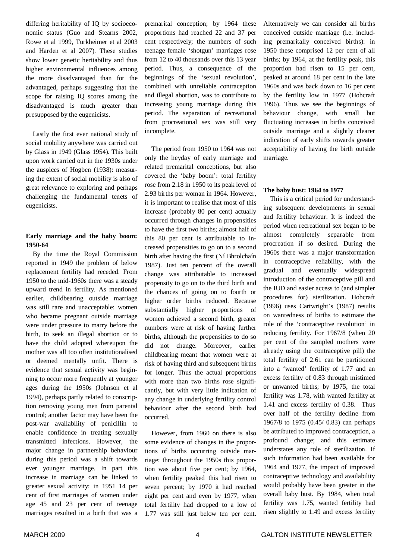differing heritability of IQ by socioeconomic status (Guo and Stearns 2002, Rowe et al 1999, Turkheimer et al 2003 and Harden et al 2007). These studies show lower genetic heritability and thus higher environmental influences among the more disadvantaged than for the advantaged, perhaps suggesting that the scope for raising IQ scores among the disadvantaged is much greater than presupposed by the eugenicists.

Lastly the first ever national study of social mobility anywhere was carried out by Glass in 1949 (Glass 1954). This built upon work carried out in the 1930s under the auspices of Hogben (1938): measuring the extent of social mobility is also of great relevance to exploring and perhaps challenging the fundamental tenets of eugenicists.

#### **Early marriage and the baby boom: 1950-64**

By the time the Royal Commission reported in 1949 the problem of below replacement fertility had receded. From 1950 to the mid-1960s there was a steady upward trend in fertility. As mentioned earlier, childbearing outside marriage was still rare and unacceptable: women who became pregnant outside marriage were under pressure to marry before the birth, to seek an illegal abortion or to have the child adopted whereupon the mother was all too often institutionalised or deemed mentally unfit. There is evidence that sexual activity was beginning to occur more frequently at younger ages during the 1950s (Johnson et al 1994), perhaps partly related to conscription removing young men from parental control; another factor may have been the post-war availability of penicillin to enable confidence in treating sexually transmitted infections. However, the major change in partnership behaviour during this period was a shift towards ever younger marriage. In part this increase in marriage can be linked to greater sexual activity: in 1951 14 per cent of first marriages of women under age 45 and 23 per cent of teenage marriages resulted in a birth that was a

premarital conception; by 1964 these proportions had reached 22 and 37 per cent respectively; the numbers of such teenage female 'shotgun' marriages rose from 12 to 40 thousands over this 13 year period. Thus, a consequence of the beginnings of the 'sexual revolution', combined with unreliable contraception and illegal abortion, was to contribute to increasing young marriage during this period. The separation of recreational from procreational sex was still very incomplete.

The period from 1950 to 1964 was not only the heyday of early marriage and related premarital conceptions, but also covered the 'baby boom': total fertility rose from 2.18 in 1950 to its peak level of 2.93 births per woman in 1964. However, it is important to realise that most of this increase (probably 80 per cent) actually occurred through changes in propensities to have the first two births; almost half of this 80 per cent is attributable to increased propensities to go on to a second birth after having the first (Ní Bhrolchaín 1987). Just ten percent of the overall change was attributable to increased propensity to go on to the third birth and the chances of going on to fourth or higher order births reduced. Because substantially higher proportions of women achieved a second birth, greater numbers were at risk of having further births, although the propensities to do so did not change. Moreover, earlier childbearing meant that women were at risk of having third and subsequent births for longer. Thus the actual proportions with more than two births rose significantly, but with very little indication of any change in underlying fertility control behaviour after the second birth had occurred.

However, from 1960 on there is also some evidence of changes in the proportions of births occurring outside marriage: throughout the 1950s this proportion was about five per cent; by 1964, when fertility peaked this had risen to seven percent; by 1970 it had reached eight per cent and even by 1977, when total fertility had dropped to a low of 1.77 was still just below ten per cent.

Alternatively we can consider all births conceived outside marriage (i.e. including premaritally conceived births): in 1950 these comprised 12 per cent of all births; by 1964, at the fertility peak, this proportion had risen to 15 per cent, peaked at around 18 per cent in the late 1960s and was back down to 16 per cent by the fertility low in 1977 (Hobcraft 1996). Thus we see the beginnings of behaviour change, with small but fluctuating increases in births conceived outside marriage and a slightly clearer indication of early shifts towards greater acceptability of having the birth outside marriage.

#### **The baby bust: 1964 to 1977**

This is a critical period for understanding subsequent developments in sexual and fertility behaviour. It is indeed the period when recreational sex began to be almost completely separable from procreation if so desired. During the 1960s there was a major transformation in contraceptive reliability, with the gradual and eventually widespread introduction of the contraceptive pill and the IUD and easier access to (and simpler procedures for) sterilization. Hobcraft (1996) uses Cartwright's (1987) results on wantedness of births to estimate the role of the 'contraceptive revolution' in reducing fertility. For 1967/8 (when 20 per cent of the sampled mothers were already using the contraceptive pill) the total fertility of 2.61 can be partitioned into a 'wanted' fertility of 1.77 and an excess fertility of 0.83 through mistimed or unwanted births; by 1975, the total fertility was 1.78, with wanted fertility at 1.41 and excess fertility of 0.38. Thus over half of the fertility decline from 1967/8 to 1975 (0.45/ 0.83) can perhaps be attributed to improved contraception, a profound change; and this estimate understates any role of sterilization. If such information had been available for 1964 and 1977, the impact of improved contraceptive technology and availability would probably have been greater in the overall baby bust. By 1984, when total fertility was 1.75, wanted fertility had risen slightly to 1.49 and excess fertility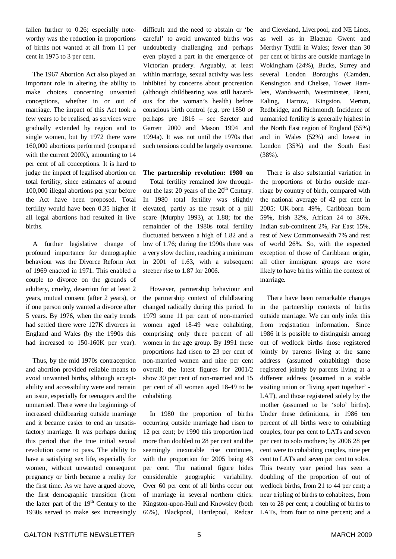fallen further to 0.26; especially noteworthy was the reduction in proportions of births not wanted at all from 11 per cent in 1975 to 3 per cent.

The 1967 Abortion Act also played an important role in altering the ability to make choices concerning unwanted conceptions, whether in or out of marriage. The impact of this Act took a few years to be realised, as services were gradually extended by region and to single women, but by 1972 there were 160,000 abortions performed (compared with the current 200K), amounting to 14 per cent of all conceptions. It is hard to judge the impact of legalised abortion on total fertility, since estimates of around 100,000 illegal abortions per year before the Act have been proposed. Total fertility would have been 0.35 higher if all legal abortions had resulted in live births.

A further legislative change of profound importance for demographic behaviour was the Divorce Reform Act of 1969 enacted in 1971. This enabled a couple to divorce on the grounds of adultery, cruelty, desertion for at least 2 years, mutual consent (after 2 years), or if one person only wanted a divorce after 5 years. By 1976, when the early trends had settled there were 127K divorces in England and Wales (by the 1990s this had increased to 150-160K per year).

Thus, by the mid 1970s contraception and abortion provided reliable means to avoid unwanted births, although acceptability and accessibility were and remain an issue, especially for teenagers and the unmarried. There were the beginnings of increased childbearing outside marriage and it became easier to end an unsatisfactory marriage. It was perhaps during this period that the true initial sexual revolution came to pass. The ability to have a satisfying sex life, especially for women, without unwanted consequent pregnancy or birth became a reality for the first time. As we have argued above, the first demographic transition (from the latter part of the 19<sup>th</sup> Century to the 1930s served to make sex increasingly

difficult and the need to abstain or 'be careful' to avoid unwanted births was undoubtedly challenging and perhaps even played a part in the emergence of Victorian prudery. Arguably, at least within marriage, sexual activity was less inhibited by concerns about procreation (although childbearing was still hazardous for the woman's health) before conscious birth control (e.g. pre 1850 or perhaps pre 1816 – see Szreter and Garrett 2000 and Mason 1994 and 1994a). It was not until the 1970s that such tensions could be largely overcome.

**The partnership revolution: 1980 on**

Total fertility remained low throughout the last 20 years of the 20<sup>th</sup> Century. In 1980 total fertility was slightly elevated, partly as the result of a pill scare (Murphy 1993), at 1.88; for the remainder of the 1980s total fertility fluctuated between a high of 1.82 and a low of 1.76; during the 1990s there was a very slow decline, reaching a minimum in 2001 of 1.63, with a subsequent steeper rise to 1.87 for 2006.

However, partnership behaviour and the partnership context of childbearing changed radically during this period. In 1979 some 11 per cent of non-married women aged 18-49 were cohabiting, comprising only three percent of all women in the age group. By 1991 these proportions had risen to 23 per cent of non-married women and nine per cent overall; the latest figures for 2001/2 show 30 per cent of non-married and 15 per cent of all women aged 18-49 to be cohabiting.

In 1980 the proportion of births occurring outside marriage had risen to 12 per cent; by 1990 this proportion had more than doubled to 28 per cent and the seemingly inexorable rise continues, with the proportion for 2005 being 43 per cent. The national figure hides considerable geographic variability. Over 60 per cent of all births occur out of marriage in several northern cities: Kingston-upon-Hull and Knowsley (both 66%), Blackpool, Hartlepool, Redcar

and Cleveland, Liverpool, and NE Lincs, as well as in Blaenau Gwent and Merthyr Tydfil in Wales; fewer than 30 per cent of births are outside marriage in Wokingham (24%), Bucks, Surrey and several London Boroughs (Camden, Kensington and Chelsea, Tower Hamlets, Wandsworth, Westminster, Brent, Ealing, Harrow, Kingston, Merton, Redbridge, and Richmond). Incidence of unmarried fertility is generally highest in the North East region of England (55%) and in Wales (52%) and lowest in London (35%) and the South East (38%).

There is also substantial variation in the proportions of births outside marriage by country of birth, compared with the national average of 42 per cent in 2005: UK-born 49%, Caribbean born 59%, Irish 32%, African 24 to 36%, Indian sub-continent 2%, Far East 15%, rest of New Commonwealth 7% and rest of world 26%. So, with the expected exception of those of Caribbean origin, all other immigrant groups are *more* likely to have births within the context of marriage.

There have been remarkable changes in the partnership contexts of births outside marriage. We can only infer this from registration information. Since 1986 it is possible to distinguish among out of wedlock births those registered jointly by parents living at the same address (assumed cohabiting) those registered jointly by parents living at a different address (assumed in a stable visiting union or 'living apart together' - LAT), and those registered solely by the mother (assumed to be 'solo' births). Under these definitions, in 1986 ten percent of all births were to cohabiting couples, four per cent to LATs and seven per cent to solo mothers; by 2006 28 per cent were to cohabiting couples, nine per cent to LATs and seven per cent to solos. This twenty year period has seen a doubling of the proportion of out of wedlock births, from 21 to 44 per cent; a near tripling of births to cohabitees, from ten to 28 per cent; a doubling of births to LATs, from four to nine percent; and a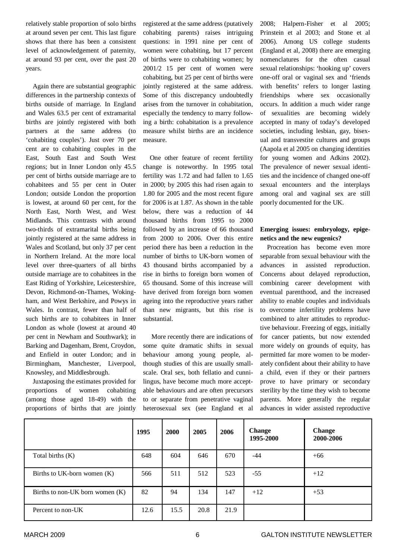relatively stable proportion of solo births at around seven per cent. This last figure shows that there has been a consistent level of acknowledgement of paternity, at around 93 per cent, over the past 20 years.

Again there are substantial geographic differences in the partnership contexts of births outside of marriage. In England and Wales 63.5 per cent of extramarital births are jointly registered with both partners at the same address (to 'cohabiting couples'). Just over 70 per cent are to cohabiting couples in the East, South East and South West regions; but in Inner London only 45.5 per cent of births outside marriage are to cohabitees and 55 per cent in Outer London; outside London the proportion is lowest, at around 60 per cent, for the North East, North West, and West Midlands. This contrasts with around two-thirds of extramarital births being jointly registered at the same address in Wales and Scotland, but only 37 per cent in Northern Ireland. At the more local level over three-quarters of all births outside marriage are to cohabitees in the East Riding of Yorkshire, Leicestershire, Devon, Richmond-on-Thames, Wokingham, and West Berkshire, and Powys in Wales. In contrast, fewer than half of such births are to cohabitees in Inner London as whole (lowest at around 40 per cent in Newham and Southwark); in Barking and Dagenham, Brent, Croydon, and Enfield in outer London; and in Birmingham, Manchester, Liverpool, Knowsley, and Middlesbrough.

Juxtaposing the estimates provided for proportions of women cohabiting (among those aged 18-49) with the proportions of births that are jointly registered at the same address (putatively cohabiting parents) raises intriguing questions: in 1991 nine per cent of women were cohabiting, but 17 percent of births were to cohabiting women; by 2001/2 15 per cent of women were cohabiting, but 25 per cent of births were jointly registered at the same address. Some of this discrepancy undoubtedly arises from the turnover in cohabitation, especially the tendency to marry following a birth: cohabitation is a prevalence measure whilst births are an incidence measure.

One other feature of recent fertility change is noteworthy. In 1995 total fertility was 1.72 and had fallen to 1.65 in 2000; by 2005 this had risen again to 1.80 for 2005 and the most recent figure for 2006 is at 1.87. As shown in the table below, there was a reduction of 44 thousand births from 1995 to 2000 followed by an increase of 66 thousand from 2000 to 2006. Over this entire period there has been a reduction in the number of births to UK-born women of 43 thousand births accompanied by a rise in births to foreign born women of 65 thousand. Some of this increase will have derived from foreign born women ageing into the reproductive years rather than new migrants, but this rise is substantial.

More recently there are indications of some quite dramatic shifts in sexual behaviour among young people, although studies of this are usually smallscale. Oral sex, both fellatio and cunnilingus, have become much more acceptable behaviours and are often precursors to or separate from penetrative vaginal heterosexual sex (see England et al 2008; Halpern-Fisher et al 2005; Prinstein et al 2003; and Stone et al 2006). Among US college students (England et al, 2008) there are emerging nomenclatures for the often casual sexual relationships: 'hooking up' covers one-off oral or vaginal sex and 'friends with benefits' refers to longer lasting friendships where sex occasionally occurs. In addition a much wider range of sexualities are becoming widely accepted in many of today's developed societies, including lesbian, gay, bisexual and transvestite cultures and groups (Aapola et al 2005 on changing identities for young women and Adkins 2002). The prevalence of newer sexual identities and the incidence of changed one-off sexual encounters and the interplays among oral and vaginal sex are still poorly documented for the UK.

#### **Emerging issues: embryology, epigenetics and the new eugenics?**

Procreation has become even more separable from sexual behaviour with the advances in assisted reproduction. Concerns about delayed reproduction, combining career development with eventual parenthood, and the increased ability to enable couples and individuals to overcome infertility problems have combined to alter attitudes to reproductive behaviour. Freezing of eggs, initially for cancer patients, but now extended more widely on grounds of equity, has permitted far more women to be moderately confident about their ability to have a child, even if they or their partners prove to have primary or secondary sterility by the time they wish to become parents. More generally the regular advances in wider assisted reproductive

|                                   | 1995 | 2000 | 2005 | 2006 | Change<br>1995-2000 | <b>Change</b><br>2000-2006 |
|-----------------------------------|------|------|------|------|---------------------|----------------------------|
| Total births (K)                  | 648  | 604  | 646  | 670  | -44                 | $+66$                      |
| Births to UK-born women $(K)$     | 566  | 511  | 512  | 523  | $-55$               | $+12$                      |
| Births to non-UK born women $(K)$ | 82   | 94   | 134  | 147  | $+12$               | $+53$                      |
| Percent to non-UK                 | 12.6 | 15.5 | 20.8 | 21.9 |                     |                            |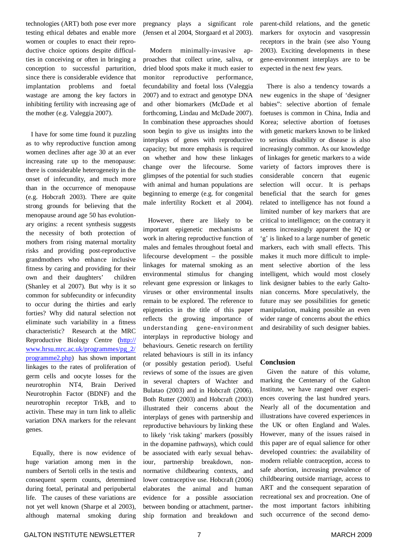technologies (ART) both pose ever more testing ethical debates and enable more women or couples to enact their reproductive choice options despite difficulties in conceiving or often in bringing a conception to successful parturition, since there is considerable evidence that implantation problems and foetal wastage are among the key factors in inhibiting fertility with increasing age of the mother (e.g. Valeggia 2007).

I have for some time found it puzzling as to why reproductive function among women declines after age 30 at an ever increasing rate up to the menopause: there is considerable heterogeneity in the onset of infecundity, and much more than in the occurrence of menopause (e.g. Hobcraft 2003). There are quite strong grounds for believing that the menopause around age 50 has evolutionary origins: a recent synthesis suggests the necessity of both protection of mothers from rising maternal mortality risks and providing post-reproductive grandmothers who enhance inclusive fitness by caring and providing for their own and their daughters' children (Shanley et al 2007). But why is it so common for subfecundity or infecundity to occur during the thirties and early forties? Why did natural selection not eliminate such variability in a fitness characteristic? Research at the MRC Reproductive Biology Centre (http:// www.hrsu.mrc.ac.uk/programmes/pg\_2/ programme2.php) has shown important linkages to the rates of proliferation of germ cells and oocyte losses for the neurotrophin NT4, Brain Derived Neurotrophin Factor (BDNF) and the neurotrophin receptor TrkB, and to activin. These may in turn link to allelic variation DNA markers for the relevant genes.

Equally, there is now evidence of huge variation among men in the numbers of Sertoli cells in the testis and consequent sperm counts, determined during foetal, perinatal and peripubertal life. The causes of these variations are not yet well known (Sharpe et al 2003), although maternal smoking during pregnancy plays a significant role (Jensen et al 2004, Storgaard et al 2003).

Modern minimally-invasive approaches that collect urine, saliva, or dried blood spots make it much easier to monitor reproductive performance, fecundability and foetal loss (Valeggia 2007) and to extract and genotype DNA and other biomarkers (McDade et al forthcoming, Lindau and McDade 2007). In combination these approaches should soon begin to give us insights into the interplays of genes with reproductive capacity; but more emphasis is required on whether and how these linkages change over the lifecourse. Some glimpses of the potential for such studies with animal and human populations are beginning to emerge (e.g. for congenital male infertility Rockett et al 2004).

However, there are likely to be important epigenetic mechanisms at work in altering reproductive function of males and females throughout foetal and lifecourse development – the possible linkages for maternal smoking as an environmental stimulus for changing relevant gene expression or linkages to viruses or other environmental insults remain to be explored. The reference to epigenetics in the title of this paper reflects the growing importance of understanding gene-environment interplays in reproductive biology and behaviours. Genetic research on fertility related behaviours is still in its infancy (or possibly gestation period). Useful reviews of some of the issues are given in several chapters of Wachter and Bulatao (2003) and in Hobcraft (2006). Both Rutter (2003) and Hobcraft (2003) illustrated their concerns about the interplays of genes with partnership and reproductive behaviours by linking these to likely 'risk taking' markers (possibly in the dopamine pathways), which could be associated with early sexual behaviour, partnership breakdown, nonnormative childbearing contexts, and lower contraceptive use. Hobcraft (2006) elaborates the animal and human evidence for a possible association between bonding or attachment, partnership formation and breakdown and

parent-child relations, and the genetic markers for oxytocin and vasopressin receptors in the brain (see also Young 2003). Exciting developments in these gene-environment interplays are to be expected in the next few years.

There is also a tendency towards a new eugenics in the shape of 'designer babies": selective abortion of female foetuses is common in China, India and Korea; selective abortion of foetuses with genetic markers known to be linked to serious disability or disease is also increasingly common. As our knowledge of linkages for genetic markers to a wide variety of factors improves there is considerable concern that eugenic selection will occur. It is perhaps beneficial that the search for genes related to intelligence has not found a limited number of key markers that are critical to intelligence; on the contrary it seems increasingly apparent the IQ or 'g' is linked to a large number of genetic markers, each with small effects. This makes it much more difficult to implement selective abortion of the less intelligent, which would most closely link designer babies to the early Galtonian concerns. More speculatively, the future may see possibilities for genetic manipulation, making possible an even wider range of concerns about the ethics and desirability of such designer babies.

#### **Conclusion**

Given the nature of this volume, marking the Centenary of the Galton Institute, we have ranged over experiences covering the last hundred years. Nearly all of the documentation and illustrations have covered experiences in the UK or often England and Wales. However, many of the issues raised in this paper are of equal salience for other developed countries: the availability of modern reliable contraception, access to safe abortion, increasing prevalence of childbearing outside marriage, access to ART and the consequent separation of recreational sex and procreation. One of the most important factors inhibiting such occurrence of the second demo-